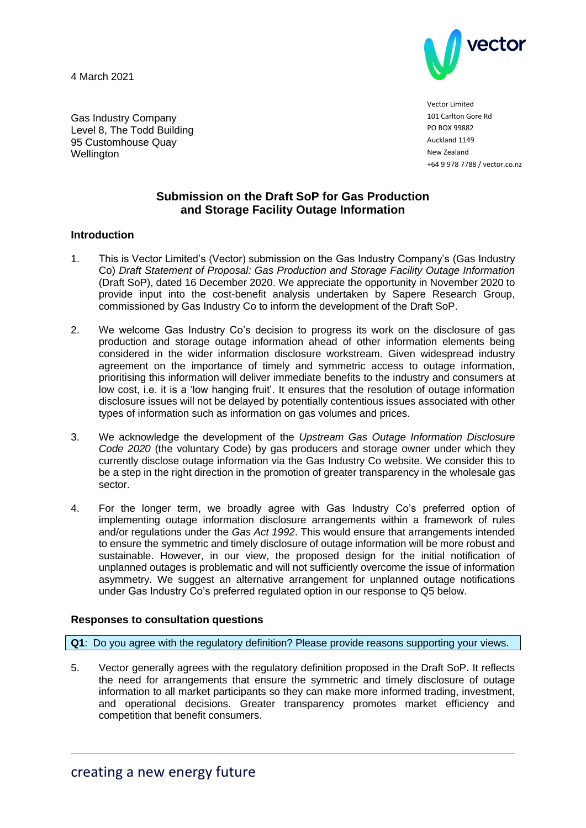4 March 2021

Wellington

Gas Industry Company Level 8, The Todd Building 95 Customhouse Quay



Vector Limited 101 Carlton Gore Rd PO BOX 99882 Auckland 1149 New Zealand +64 9 978 7788 / vector.co.nz

# **Submission on the Draft SoP for Gas Production and Storage Facility Outage Information**

## **Introduction**

- 1. This is Vector Limited's (Vector) submission on the Gas Industry Company's (Gas Industry Co) *Draft Statement of Proposal: Gas Production and Storage Facility Outage Information* (Draft SoP), dated 16 December 2020. We appreciate the opportunity in November 2020 to provide input into the cost-benefit analysis undertaken by Sapere Research Group, commissioned by Gas Industry Co to inform the development of the Draft SoP.
- 2. We welcome Gas Industry Co's decision to progress its work on the disclosure of gas production and storage outage information ahead of other information elements being considered in the wider information disclosure workstream. Given widespread industry agreement on the importance of timely and symmetric access to outage information, prioritising this information will deliver immediate benefits to the industry and consumers at low cost, i.e. it is a 'low hanging fruit'. It ensures that the resolution of outage information disclosure issues will not be delayed by potentially contentious issues associated with other types of information such as information on gas volumes and prices.
- 3. We acknowledge the development of the *Upstream Gas Outage Information Disclosure Code 2020* (the voluntary Code) by gas producers and storage owner under which they currently disclose outage information via the Gas Industry Co website. We consider this to be a step in the right direction in the promotion of greater transparency in the wholesale gas sector.
- 4. For the longer term, we broadly agree with Gas Industry Co's preferred option of implementing outage information disclosure arrangements within a framework of rules and/or regulations under the *Gas Act 1992*. This would ensure that arrangements intended to ensure the symmetric and timely disclosure of outage information will be more robust and sustainable. However, in our view, the proposed design for the initial notification of unplanned outages is problematic and will not sufficiently overcome the issue of information asymmetry. We suggest an alternative arrangement for unplanned outage notifications under Gas Industry Co's preferred regulated option in our response to Q5 below.

## **Responses to consultation questions**

**Q1**: Do you agree with the regulatory definition? Please provide reasons supporting your views.

5. Vector generally agrees with the regulatory definition proposed in the Draft SoP. It reflects the need for arrangements that ensure the symmetric and timely disclosure of outage information to all market participants so they can make more informed trading, investment, and operational decisions. Greater transparency promotes market efficiency and competition that benefit consumers.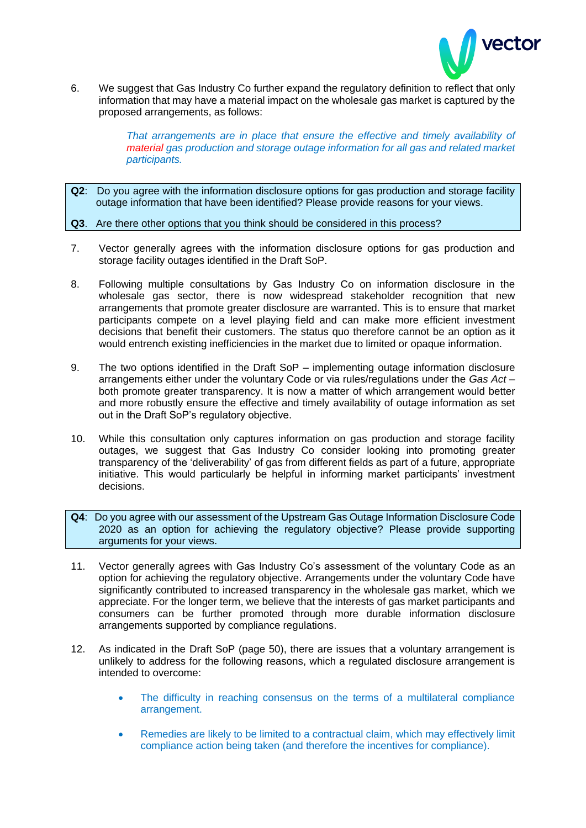

6. We suggest that Gas Industry Co further expand the regulatory definition to reflect that only information that may have a material impact on the wholesale gas market is captured by the proposed arrangements, as follows:

> That arrangements are in place that ensure the effective and timely availability of *material gas production and storage outage information for all gas and related market participants.*

- **Q2**: Do you agree with the information disclosure options for gas production and storage facility outage information that have been identified? Please provide reasons for your views.
- **Q3**. Are there other options that you think should be considered in this process?
- 7. Vector generally agrees with the information disclosure options for gas production and storage facility outages identified in the Draft SoP.
- 8. Following multiple consultations by Gas Industry Co on information disclosure in the wholesale gas sector, there is now widespread stakeholder recognition that new arrangements that promote greater disclosure are warranted. This is to ensure that market participants compete on a level playing field and can make more efficient investment decisions that benefit their customers. The status quo therefore cannot be an option as it would entrench existing inefficiencies in the market due to limited or opaque information.
- 9. The two options identified in the Draft SoP implementing outage information disclosure arrangements either under the voluntary Code or via rules/regulations under the *Gas Act* – both promote greater transparency. It is now a matter of which arrangement would better and more robustly ensure the effective and timely availability of outage information as set out in the Draft SoP's regulatory objective.
- 10. While this consultation only captures information on gas production and storage facility outages, we suggest that Gas Industry Co consider looking into promoting greater transparency of the 'deliverability' of gas from different fields as part of a future, appropriate initiative. This would particularly be helpful in informing market participants' investment decisions.
- **Q4**: Do you agree with our assessment of the Upstream Gas Outage Information Disclosure Code 2020 as an option for achieving the regulatory objective? Please provide supporting arguments for your views.
- 11. Vector generally agrees with Gas Industry Co's assessment of the voluntary Code as an option for achieving the regulatory objective. Arrangements under the voluntary Code have significantly contributed to increased transparency in the wholesale gas market, which we appreciate. For the longer term, we believe that the interests of gas market participants and consumers can be further promoted through more durable information disclosure arrangements supported by compliance regulations.
- 12. As indicated in the Draft SoP (page 50), there are issues that a voluntary arrangement is unlikely to address for the following reasons, which a regulated disclosure arrangement is intended to overcome:
	- The difficulty in reaching consensus on the terms of a multilateral compliance arrangement.
	- Remedies are likely to be limited to a contractual claim, which may effectively limit compliance action being taken (and therefore the incentives for compliance).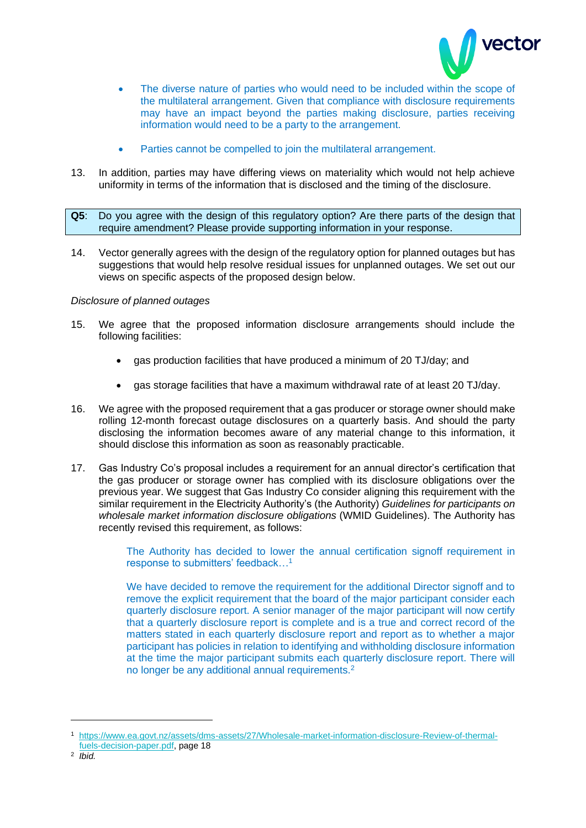

- The diverse nature of parties who would need to be included within the scope of the multilateral arrangement. Given that compliance with disclosure requirements may have an impact beyond the parties making disclosure, parties receiving information would need to be a party to the arrangement.
- Parties cannot be compelled to join the multilateral arrangement.
- 13. In addition, parties may have differing views on materiality which would not help achieve uniformity in terms of the information that is disclosed and the timing of the disclosure.
- **Q5**: Do you agree with the design of this regulatory option? Are there parts of the design that require amendment? Please provide supporting information in your response.
- 14. Vector generally agrees with the design of the regulatory option for planned outages but has suggestions that would help resolve residual issues for unplanned outages. We set out our views on specific aspects of the proposed design below.

## *Disclosure of planned outages*

- 15. We agree that the proposed information disclosure arrangements should include the following facilities:
	- gas production facilities that have produced a minimum of 20 TJ/day; and
	- gas storage facilities that have a maximum withdrawal rate of at least 20 TJ/day.
- 16. We agree with the proposed requirement that a gas producer or storage owner should make rolling 12-month forecast outage disclosures on a quarterly basis. And should the party disclosing the information becomes aware of any material change to this information, it should disclose this information as soon as reasonably practicable.
- 17. Gas Industry Co's proposal includes a requirement for an annual director's certification that the gas producer or storage owner has complied with its disclosure obligations over the previous year. We suggest that Gas Industry Co consider aligning this requirement with the similar requirement in the Electricity Authority's (the Authority) *Guidelines for participants on wholesale market information disclosure obligations* (WMID Guidelines). The Authority has recently revised this requirement, as follows:

The Authority has decided to lower the annual certification signoff requirement in response to submitters' feedback…<sup>1</sup>

We have decided to remove the requirement for the additional Director signoff and to remove the explicit requirement that the board of the major participant consider each quarterly disclosure report. A senior manager of the major participant will now certify that a quarterly disclosure report is complete and is a true and correct record of the matters stated in each quarterly disclosure report and report as to whether a major participant has policies in relation to identifying and withholding disclosure information at the time the major participant submits each quarterly disclosure report. There will no longer be any additional annual requirements.<sup>2</sup>

<sup>1</sup> [https://www.ea.govt.nz/assets/dms-assets/27/Wholesale-market-information-disclosure-Review-of-thermal](https://www.ea.govt.nz/assets/dms-assets/27/Wholesale-market-information-disclosure-Review-of-thermal-fuels-decision-paper.pdf)[fuels-decision-paper.pdf,](https://www.ea.govt.nz/assets/dms-assets/27/Wholesale-market-information-disclosure-Review-of-thermal-fuels-decision-paper.pdf) page 18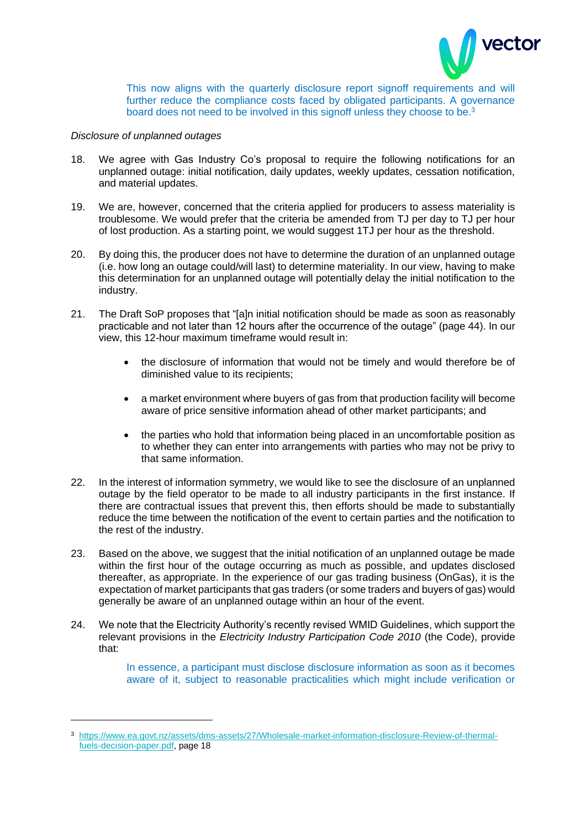

This now aligns with the quarterly disclosure report signoff requirements and will further reduce the compliance costs faced by obligated participants. A governance board does not need to be involved in this signoff unless they choose to be.<sup>3</sup>

### *Disclosure of unplanned outages*

- 18. We agree with Gas Industry Co's proposal to require the following notifications for an unplanned outage: initial notification, daily updates, weekly updates, cessation notification, and material updates.
- 19. We are, however, concerned that the criteria applied for producers to assess materiality is troublesome. We would prefer that the criteria be amended from TJ per day to TJ per hour of lost production. As a starting point, we would suggest 1TJ per hour as the threshold.
- 20. By doing this, the producer does not have to determine the duration of an unplanned outage (i.e. how long an outage could/will last) to determine materiality. In our view, having to make this determination for an unplanned outage will potentially delay the initial notification to the industry.
- 21. The Draft SoP proposes that "[a]n initial notification should be made as soon as reasonably practicable and not later than 12 hours after the occurrence of the outage" (page 44). In our view, this 12-hour maximum timeframe would result in:
	- the disclosure of information that would not be timely and would therefore be of diminished value to its recipients;
	- a market environment where buyers of gas from that production facility will become aware of price sensitive information ahead of other market participants; and
	- the parties who hold that information being placed in an uncomfortable position as to whether they can enter into arrangements with parties who may not be privy to that same information.
- 22. In the interest of information symmetry, we would like to see the disclosure of an unplanned outage by the field operator to be made to all industry participants in the first instance. If there are contractual issues that prevent this, then efforts should be made to substantially reduce the time between the notification of the event to certain parties and the notification to the rest of the industry.
- 23. Based on the above, we suggest that the initial notification of an unplanned outage be made within the first hour of the outage occurring as much as possible, and updates disclosed thereafter, as appropriate. In the experience of our gas trading business (OnGas), it is the expectation of market participants that gas traders (or some traders and buyers of gas) would generally be aware of an unplanned outage within an hour of the event.
- 24. We note that the Electricity Authority's recently revised WMID Guidelines, which support the relevant provisions in the *Electricity Industry Participation Code 2010* (the Code), provide that:

In essence, a participant must disclose disclosure information as soon as it becomes aware of it, subject to reasonable practicalities which might include verification or

<sup>3</sup> [https://www.ea.govt.nz/assets/dms-assets/27/Wholesale-market-information-disclosure-Review-of-thermal](https://www.ea.govt.nz/assets/dms-assets/27/Wholesale-market-information-disclosure-Review-of-thermal-fuels-decision-paper.pdf)[fuels-decision-paper.pdf,](https://www.ea.govt.nz/assets/dms-assets/27/Wholesale-market-information-disclosure-Review-of-thermal-fuels-decision-paper.pdf) page 18